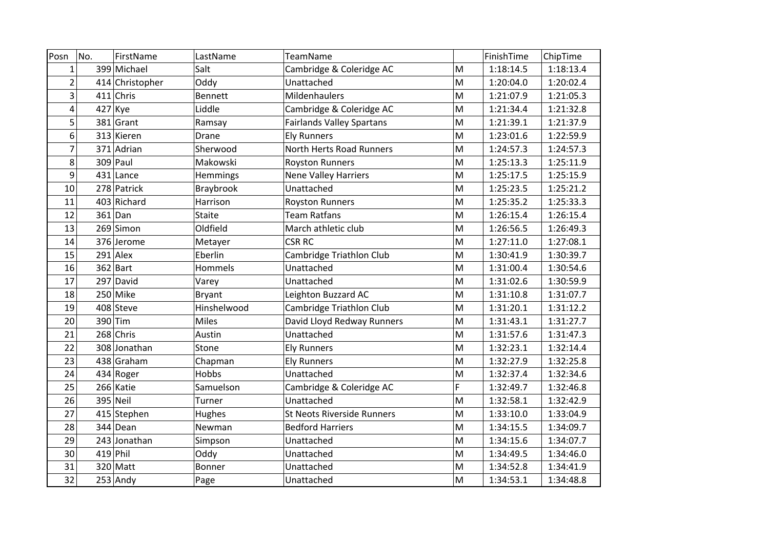| Posn           | No. | FirstName       | LastName       | TeamName                          |   | FinishTime | ChipTime  |
|----------------|-----|-----------------|----------------|-----------------------------------|---|------------|-----------|
| $\mathbf{1}$   |     | 399 Michael     | Salt           | Cambridge & Coleridge AC          | M | 1:18:14.5  | 1:18:13.4 |
| $\overline{2}$ |     | 414 Christopher | Oddy           | Unattached                        | M | 1:20:04.0  | 1:20:02.4 |
| 3              |     | $411$ Chris     | <b>Bennett</b> | Mildenhaulers                     | M | 1:21:07.9  | 1:21:05.3 |
| 4              |     | $427$ Kye       | Liddle         | Cambridge & Coleridge AC          | M | 1:21:34.4  | 1:21:32.8 |
| 5              |     | $381$ Grant     | Ramsay         | <b>Fairlands Valley Spartans</b>  | M | 1:21:39.1  | 1:21:37.9 |
| 6              |     | 313 Kieren      | Drane          | <b>Ely Runners</b>                | M | 1:23:01.6  | 1:22:59.9 |
| 7              |     | 371 Adrian      | Sherwood       | <b>North Herts Road Runners</b>   | M | 1:24:57.3  | 1:24:57.3 |
| 8              |     | $309$ Paul      | Makowski       | <b>Royston Runners</b>            | M | 1:25:13.3  | 1:25:11.9 |
| 9              |     | 431 Lance       | Hemmings       | <b>Nene Valley Harriers</b>       | M | 1:25:17.5  | 1:25:15.9 |
| 10             |     | 278 Patrick     | Braybrook      | Unattached                        | M | 1:25:23.5  | 1:25:21.2 |
| 11             |     | 403 Richard     | Harrison       | <b>Royston Runners</b>            | M | 1:25:35.2  | 1:25:33.3 |
| 12             |     | $361$ Dan       | Staite         | <b>Team Ratfans</b>               | M | 1:26:15.4  | 1:26:15.4 |
| 13             |     | 269 Simon       | Oldfield       | March athletic club               | M | 1:26:56.5  | 1:26:49.3 |
| 14             |     | 376 Jerome      | Metayer        | <b>CSR RC</b>                     | M | 1:27:11.0  | 1:27:08.1 |
| 15             |     | $291$ Alex      | Eberlin        | Cambridge Triathlon Club          | M | 1:30:41.9  | 1:30:39.7 |
| 16             |     | $362$ Bart      | Hommels        | Unattached                        | M | 1:31:00.4  | 1:30:54.6 |
| 17             |     | 297 David       | Varey          | Unattached                        | M | 1:31:02.6  | 1:30:59.9 |
| 18             |     | 250 Mike        | <b>Bryant</b>  | Leighton Buzzard AC               | M | 1:31:10.8  | 1:31:07.7 |
| 19             |     | 408 Steve       | Hinshelwood    | Cambridge Triathlon Club          | M | 1:31:20.1  | 1:31:12.2 |
| 20             |     | 390 Tim         | <b>Miles</b>   | David Lloyd Redway Runners        | M | 1:31:43.1  | 1:31:27.7 |
| 21             |     | 268 Chris       | Austin         | Unattached                        | M | 1:31:57.6  | 1:31:47.3 |
| 22             |     | 308 Jonathan    | Stone          | <b>Ely Runners</b>                | M | 1:32:23.1  | 1:32:14.4 |
| 23             |     | 438 Graham      | Chapman        | <b>Ely Runners</b>                | M | 1:32:27.9  | 1:32:25.8 |
| 24             |     | 434 Roger       | Hobbs          | Unattached                        | M | 1:32:37.4  | 1:32:34.6 |
| 25             |     | 266 Katie       | Samuelson      | Cambridge & Coleridge AC          | F | 1:32:49.7  | 1:32:46.8 |
| 26             |     | 395 Neil        | Turner         | Unattached                        | M | 1:32:58.1  | 1:32:42.9 |
| 27             |     | 415 Stephen     | <b>Hughes</b>  | <b>St Neots Riverside Runners</b> | M | 1:33:10.0  | 1:33:04.9 |
| 28             |     | 344 Dean        | Newman         | <b>Bedford Harriers</b>           | M | 1:34:15.5  | 1:34:09.7 |
| 29             |     | 243 Jonathan    | Simpson        | Unattached                        | M | 1:34:15.6  | 1:34:07.7 |
| 30             |     | $419$ Phil      | Oddy           | Unattached                        | M | 1:34:49.5  | 1:34:46.0 |
| 31             |     | 320 Matt        | Bonner         | Unattached                        | M | 1:34:52.8  | 1:34:41.9 |
| 32             |     | $253$ Andy      | Page           | Unattached                        | M | 1:34:53.1  | 1:34:48.8 |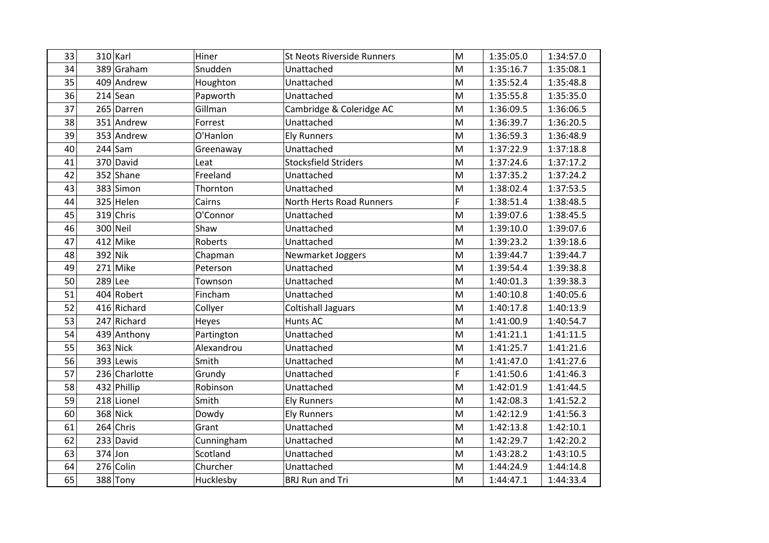| 33 |         | $310$ Karl    | Hiner      | <b>St Neots Riverside Runners</b> | M                                                                                                          | 1:35:05.0 | 1:34:57.0 |
|----|---------|---------------|------------|-----------------------------------|------------------------------------------------------------------------------------------------------------|-----------|-----------|
| 34 |         | 389 Graham    | Snudden    | Unattached                        | M                                                                                                          | 1:35:16.7 | 1:35:08.1 |
| 35 |         | 409 Andrew    | Houghton   | Unattached                        | $\mathsf{M}$                                                                                               | 1:35:52.4 | 1:35:48.8 |
| 36 |         | $214$ Sean    | Papworth   | Unattached                        | M                                                                                                          | 1:35:55.8 | 1:35:35.0 |
| 37 |         | 265 Darren    | Gillman    | Cambridge & Coleridge AC          | $\mathsf{M}% _{T}=\mathsf{M}_{T}\!\left( a,b\right) ,\ \mathsf{M}_{T}=\mathsf{M}_{T}\!\left( a,b\right) ,$ | 1:36:09.5 | 1:36:06.5 |
| 38 |         | 351 Andrew    | Forrest    | Unattached                        | $\mathsf{M}$                                                                                               | 1:36:39.7 | 1:36:20.5 |
| 39 |         | 353 Andrew    | O'Hanlon   | <b>Ely Runners</b>                | M                                                                                                          | 1:36:59.3 | 1:36:48.9 |
| 40 |         | $244$ Sam     | Greenaway  | Unattached                        | M                                                                                                          | 1:37:22.9 | 1:37:18.8 |
| 41 |         | 370 David     | Leat       | <b>Stocksfield Striders</b>       | $\mathsf{M}$                                                                                               | 1:37:24.6 | 1:37:17.2 |
| 42 |         | 352 Shane     | Freeland   | Unattached                        | M                                                                                                          | 1:37:35.2 | 1:37:24.2 |
| 43 |         | 383 Simon     | Thornton   | Unattached                        | M                                                                                                          | 1:38:02.4 | 1:37:53.5 |
| 44 |         | 325 Helen     | Cairns     | <b>North Herts Road Runners</b>   | Ë                                                                                                          | 1:38:51.4 | 1:38:48.5 |
| 45 |         | 319 Chris     | O'Connor   | Unattached                        | M                                                                                                          | 1:39:07.6 | 1:38:45.5 |
| 46 |         | 300 Neil      | Shaw       | Unattached                        | M                                                                                                          | 1:39:10.0 | 1:39:07.6 |
| 47 |         | 412 Mike      | Roberts    | Unattached                        | M                                                                                                          | 1:39:23.2 | 1:39:18.6 |
| 48 | 392 Nik |               | Chapman    | Newmarket Joggers                 | M                                                                                                          | 1:39:44.7 | 1:39:44.7 |
| 49 |         | $271$ Mike    | Peterson   | Unattached                        | M                                                                                                          | 1:39:54.4 | 1:39:38.8 |
| 50 |         | 289 Lee       | Townson    | Unattached                        | M                                                                                                          | 1:40:01.3 | 1:39:38.3 |
| 51 |         | 404 Robert    | Fincham    | Unattached                        | M                                                                                                          | 1:40:10.8 | 1:40:05.6 |
| 52 |         | 416 Richard   | Collyer    | <b>Coltishall Jaguars</b>         | M                                                                                                          | 1:40:17.8 | 1:40:13.9 |
| 53 |         | 247 Richard   | Heyes      | <b>Hunts AC</b>                   | M                                                                                                          | 1:41:00.9 | 1:40:54.7 |
| 54 |         | 439 Anthony   | Partington | Unattached                        | M                                                                                                          | 1:41:21.1 | 1:41:11.5 |
| 55 |         | 363 Nick      | Alexandrou | Unattached                        | M                                                                                                          | 1:41:25.7 | 1:41:21.6 |
| 56 |         | 393 Lewis     | Smith      | Unattached                        | M                                                                                                          | 1:41:47.0 | 1:41:27.6 |
| 57 |         | 236 Charlotte | Grundy     | Unattached                        | F                                                                                                          | 1:41:50.6 | 1:41:46.3 |
| 58 |         | 432 Phillip   | Robinson   | Unattached                        | M                                                                                                          | 1:42:01.9 | 1:41:44.5 |
| 59 |         | 218 Lionel    | Smith      | <b>Ely Runners</b>                | M                                                                                                          | 1:42:08.3 | 1:41:52.2 |
| 60 |         | 368 Nick      | Dowdy      | <b>Ely Runners</b>                | M                                                                                                          | 1:42:12.9 | 1:41:56.3 |
| 61 |         | 264 Chris     | Grant      | Unattached                        | M                                                                                                          | 1:42:13.8 | 1:42:10.1 |
| 62 |         | 233 David     | Cunningham | Unattached                        | M                                                                                                          | 1:42:29.7 | 1:42:20.2 |
| 63 |         | $374$ Jon     | Scotland   | Unattached                        | M                                                                                                          | 1:43:28.2 | 1:43:10.5 |
| 64 |         | 276 Colin     | Churcher   | Unattached                        | M                                                                                                          | 1:44:24.9 | 1:44:14.8 |
| 65 |         | 388 Tony      | Hucklesby  | <b>BRJ Run and Tri</b>            | M                                                                                                          | 1:44:47.1 | 1:44:33.4 |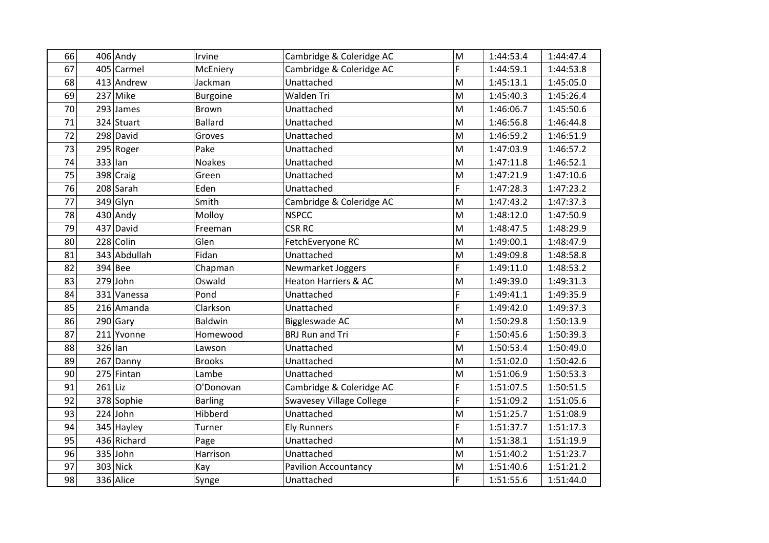| 66 | $406$ Andy   | Irvine          | Cambridge & Coleridge AC        | M                                                                                                          | 1:44:53.4 | 1:44:47.4 |
|----|--------------|-----------------|---------------------------------|------------------------------------------------------------------------------------------------------------|-----------|-----------|
| 67 | 405 Carmel   | McEniery        | Cambridge & Coleridge AC        | Ë                                                                                                          | 1:44:59.1 | 1:44:53.8 |
| 68 | 413 Andrew   | Jackman         | Unattached                      | M                                                                                                          | 1:45:13.1 | 1:45:05.0 |
| 69 | 237 Mike     | <b>Burgoine</b> | Walden Tri                      | M                                                                                                          | 1:45:40.3 | 1:45:26.4 |
| 70 | 293 James    | Brown           | Unattached                      | $\mathsf{M}% _{T}=\mathsf{M}_{T}\!\left( a,b\right) ,\ \mathsf{M}_{T}=\mathsf{M}_{T}$                      | 1:46:06.7 | 1:45:50.6 |
| 71 | 324 Stuart   | <b>Ballard</b>  | Unattached                      | M                                                                                                          | 1:46:56.8 | 1:46:44.8 |
| 72 | 298 David    | Groves          | Unattached                      | M                                                                                                          | 1:46:59.2 | 1:46:51.9 |
| 73 | 295 Roger    | Pake            | Unattached                      | M                                                                                                          | 1:47:03.9 | 1:46:57.2 |
| 74 | 333 lan      | <b>Noakes</b>   | Unattached                      | M                                                                                                          | 1:47:11.8 | 1:46:52.1 |
| 75 | 398 Craig    | Green           | Unattached                      | $\mathsf{M}% _{T}=\mathsf{M}_{T}\!\left( a,b\right) ,\ \mathsf{M}_{T}=\mathsf{M}_{T}$                      | 1:47:21.9 | 1:47:10.6 |
| 76 | 208 Sarah    | Eden            | Unattached                      | F                                                                                                          | 1:47:28.3 | 1:47:23.2 |
| 77 | $349$ Glyn   | Smith           | Cambridge & Coleridge AC        | M                                                                                                          | 1:47:43.2 | 1:47:37.3 |
| 78 | $430$ Andy   | Molloy          | <b>NSPCC</b>                    | M                                                                                                          | 1:48:12.0 | 1:47:50.9 |
| 79 | 437 David    | Freeman         | <b>CSR RC</b>                   | M                                                                                                          | 1:48:47.5 | 1:48:29.9 |
| 80 | 228 Colin    | Glen            | FetchEveryone RC                | M                                                                                                          | 1:49:00.1 | 1:48:47.9 |
| 81 | 343 Abdullah | Fidan           | Unattached                      | $\mathsf{M}% _{T}=\mathsf{M}_{T}\!\left( a,b\right) ,\ \mathsf{M}_{T}=\mathsf{M}_{T}$                      | 1:49:09.8 | 1:48:58.8 |
| 82 | 394 Bee      | Chapman         | Newmarket Joggers               | F                                                                                                          | 1:49:11.0 | 1:48:53.2 |
| 83 | $279$ John   | Oswald          | <b>Heaton Harriers &amp; AC</b> | ${\sf M}$                                                                                                  | 1:49:39.0 | 1:49:31.3 |
| 84 | 331 Vanessa  | Pond            | Unattached                      | F                                                                                                          | 1:49:41.1 | 1:49:35.9 |
| 85 | 216 Amanda   | Clarkson        | Unattached                      | Ë                                                                                                          | 1:49:42.0 | 1:49:37.3 |
| 86 | $290$ Gary   | <b>Baldwin</b>  | Biggleswade AC                  | ${\sf M}$                                                                                                  | 1:50:29.8 | 1:50:13.9 |
| 87 | 211 Yvonne   | Homewood        | <b>BRJ Run and Tri</b>          | F                                                                                                          | 1:50:45.6 | 1:50:39.3 |
| 88 | 326 lan      | Lawson          | Unattached                      | M                                                                                                          | 1:50:53.4 | 1:50:49.0 |
| 89 | 267 Danny    | <b>Brooks</b>   | Unattached                      | $\mathsf{M}% _{T}=\mathsf{M}_{T}\!\left( a,b\right) ,\ \mathsf{M}_{T}=\mathsf{M}_{T}$                      | 1:51:02.0 | 1:50:42.6 |
| 90 | 275 Fintan   | Lambe           | Unattached                      | M                                                                                                          | 1:51:06.9 | 1:50:53.3 |
| 91 | $261$ Liz    | O'Donovan       | Cambridge & Coleridge AC        | F                                                                                                          | 1:51:07.5 | 1:50:51.5 |
| 92 | 378 Sophie   | <b>Barling</b>  | <b>Swavesey Village College</b> | F                                                                                                          | 1:51:09.2 | 1:51:05.6 |
| 93 | $224$ John   | Hibberd         | Unattached                      | $\mathsf{M}% _{T}=\mathsf{M}_{T}\!\left( a,b\right) ,\ \mathsf{M}_{T}=\mathsf{M}_{T}\!\left( a,b\right) ,$ | 1:51:25.7 | 1:51:08.9 |
| 94 | 345 Hayley   | Turner          | <b>Ely Runners</b>              | F                                                                                                          | 1:51:37.7 | 1:51:17.3 |
| 95 | 436 Richard  | Page            | Unattached                      | M                                                                                                          | 1:51:38.1 | 1:51:19.9 |
| 96 | 335 John     | Harrison        | Unattached                      | M                                                                                                          | 1:51:40.2 | 1:51:23.7 |
| 97 | 303 Nick     | Kay             | <b>Pavilion Accountancy</b>     | ${\sf M}$                                                                                                  | 1:51:40.6 | 1:51:21.2 |
| 98 | 336 Alice    | Synge           | Unattached                      | F                                                                                                          | 1:51:55.6 | 1:51:44.0 |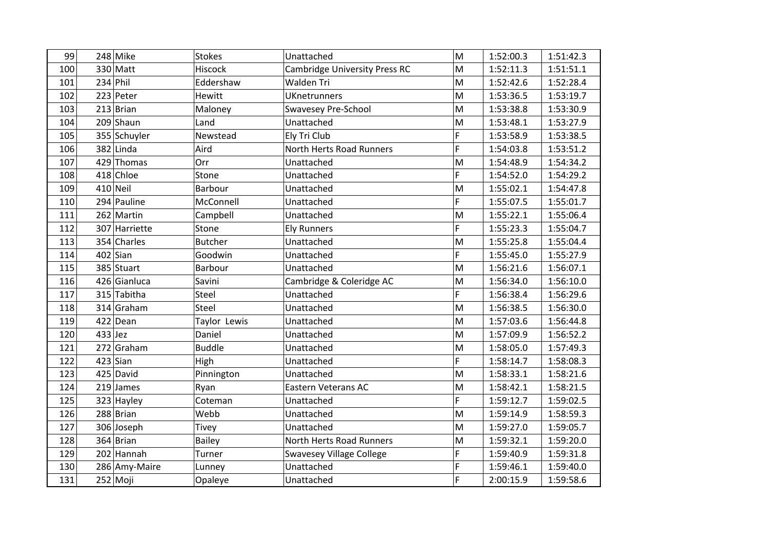| 99  |           | 248 Mike      | <b>Stokes</b>  | Unattached                           | $\mathsf{M}% _{T}=\mathsf{M}_{T}\!\left( a,b\right) ,\ \mathsf{M}_{T}=\mathsf{M}_{T}$ | 1:52:00.3 | 1:51:42.3 |
|-----|-----------|---------------|----------------|--------------------------------------|---------------------------------------------------------------------------------------|-----------|-----------|
| 100 |           | 330 Matt      | Hiscock        | <b>Cambridge University Press RC</b> | M                                                                                     | 1:52:11.3 | 1:51:51.1 |
| 101 |           | $234$ Phil    | Eddershaw      | Walden Tri                           | ${\sf M}$                                                                             | 1:52:42.6 | 1:52:28.4 |
| 102 |           | 223 Peter     | Hewitt         | <b>UKnetrunners</b>                  | M                                                                                     | 1:53:36.5 | 1:53:19.7 |
| 103 |           | $213$ Brian   | Maloney        | <b>Swavesey Pre-School</b>           | M                                                                                     | 1:53:38.8 | 1:53:30.9 |
| 104 |           | 209 Shaun     | Land           | Unattached                           | M                                                                                     | 1:53:48.1 | 1:53:27.9 |
| 105 |           | 355 Schuyler  | Newstead       | Ely Tri Club                         | F                                                                                     | 1:53:58.9 | 1:53:38.5 |
| 106 |           | 382 Linda     | Aird           | North Herts Road Runners             | Ë                                                                                     | 1:54:03.8 | 1:53:51.2 |
| 107 |           | 429 Thomas    | Orr            | Unattached                           | M                                                                                     | 1:54:48.9 | 1:54:34.2 |
| 108 |           | 418 Chloe     | Stone          | Unattached                           | Ë                                                                                     | 1:54:52.0 | 1:54:29.2 |
| 109 |           | 410 Neil      | Barbour        | Unattached                           | M                                                                                     | 1:55:02.1 | 1:54:47.8 |
| 110 |           | 294 Pauline   | McConnell      | Unattached                           | F                                                                                     | 1:55:07.5 | 1:55:01.7 |
| 111 |           | 262 Martin    | Campbell       | Unattached                           | M                                                                                     | 1:55:22.1 | 1:55:06.4 |
| 112 |           | 307 Harriette | Stone          | <b>Ely Runners</b>                   | F                                                                                     | 1:55:23.3 | 1:55:04.7 |
| 113 |           | 354 Charles   | <b>Butcher</b> | Unattached                           | M                                                                                     | 1:55:25.8 | 1:55:04.4 |
| 114 |           | $402$ Sian    | Goodwin        | Unattached                           | F                                                                                     | 1:55:45.0 | 1:55:27.9 |
| 115 |           | 385 Stuart    | Barbour        | Unattached                           | ${\sf M}$                                                                             | 1:56:21.6 | 1:56:07.1 |
| 116 |           | 426 Gianluca  | Savini         | Cambridge & Coleridge AC             | M                                                                                     | 1:56:34.0 | 1:56:10.0 |
| 117 |           | 315 Tabitha   | Steel          | Unattached                           | F                                                                                     | 1:56:38.4 | 1:56:29.6 |
| 118 |           | 314 Graham    | Steel          | Unattached                           | M                                                                                     | 1:56:38.5 | 1:56:30.0 |
| 119 |           | 422 Dean      | Taylor Lewis   | Unattached                           | ${\sf M}$                                                                             | 1:57:03.6 | 1:56:44.8 |
| 120 | $433$ Jez |               | Daniel         | Unattached                           | M                                                                                     | 1:57:09.9 | 1:56:52.2 |
| 121 |           | 272 Graham    | <b>Buddle</b>  | Unattached                           | ${\sf M}$                                                                             | 1:58:05.0 | 1:57:49.3 |
| 122 |           | $423$ Sian    | High           | Unattached                           | F                                                                                     | 1:58:14.7 | 1:58:08.3 |
| 123 |           | 425 David     | Pinnington     | Unattached                           | ${\sf M}$                                                                             | 1:58:33.1 | 1:58:21.6 |
| 124 |           | $219$ James   | Ryan           | <b>Eastern Veterans AC</b>           | M                                                                                     | 1:58:42.1 | 1:58:21.5 |
| 125 |           | 323 Hayley    | Coteman        | Unattached                           | F                                                                                     | 1:59:12.7 | 1:59:02.5 |
| 126 |           | 288 Brian     | Webb           | Unattached                           | M                                                                                     | 1:59:14.9 | 1:58:59.3 |
| 127 |           | 306 Joseph    | <b>Tivey</b>   | Unattached                           | ${\sf M}$                                                                             | 1:59:27.0 | 1:59:05.7 |
| 128 |           | 364 Brian     | <b>Bailey</b>  | North Herts Road Runners             | M                                                                                     | 1:59:32.1 | 1:59:20.0 |
| 129 |           | 202 Hannah    | Turner         | <b>Swavesey Village College</b>      | F                                                                                     | 1:59:40.9 | 1:59:31.8 |
| 130 |           | 286 Amy-Maire | Lunney         | Unattached                           | F                                                                                     | 1:59:46.1 | 1:59:40.0 |
| 131 |           | 252 Moji      | Opaleye        | Unattached                           | F                                                                                     | 2:00:15.9 | 1:59:58.6 |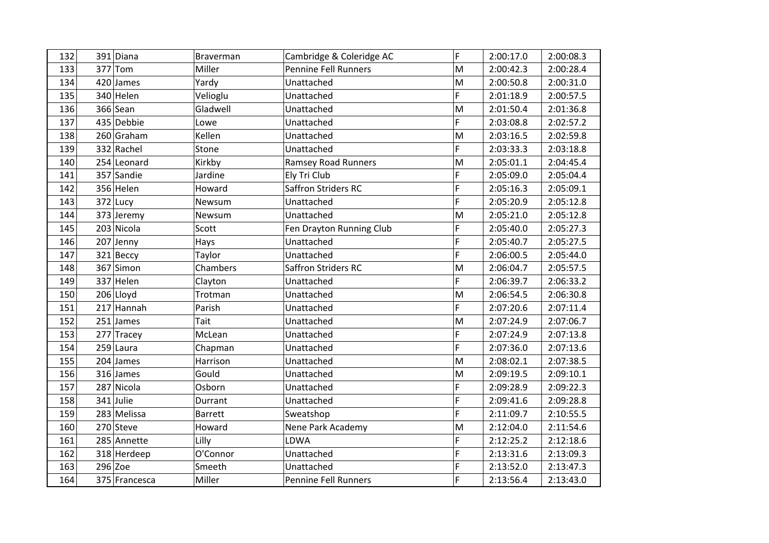| 132 | 391 Diana     | Braverman      | Cambridge & Coleridge AC    | F                                                                                                          | 2:00:17.0 | 2:00:08.3 |
|-----|---------------|----------------|-----------------------------|------------------------------------------------------------------------------------------------------------|-----------|-----------|
| 133 | $377$ Tom     | Miller         | <b>Pennine Fell Runners</b> | M                                                                                                          | 2:00:42.3 | 2:00:28.4 |
| 134 | 420 James     | Yardy          | Unattached                  | M                                                                                                          | 2:00:50.8 | 2:00:31.0 |
| 135 | 340 Helen     | Velioglu       | Unattached                  | F                                                                                                          | 2:01:18.9 | 2:00:57.5 |
| 136 | 366 Sean      | Gladwell       | Unattached                  | M                                                                                                          | 2:01:50.4 | 2:01:36.8 |
| 137 | 435 Debbie    | Lowe           | Unattached                  | F                                                                                                          | 2:03:08.8 | 2:02:57.2 |
| 138 | 260 Graham    | Kellen         | Unattached                  | M                                                                                                          | 2:03:16.5 | 2:02:59.8 |
| 139 | 332 Rachel    | Stone          | Unattached                  | F                                                                                                          | 2:03:33.3 | 2:03:18.8 |
| 140 | 254 Leonard   | Kirkby         | <b>Ramsey Road Runners</b>  | M                                                                                                          | 2:05:01.1 | 2:04:45.4 |
| 141 | 357 Sandie    | Jardine        | Ely Tri Club                | F                                                                                                          | 2:05:09.0 | 2:05:04.4 |
| 142 | 356 Helen     | Howard         | <b>Saffron Striders RC</b>  | F                                                                                                          | 2:05:16.3 | 2:05:09.1 |
| 143 | 372 Lucy      | Newsum         | Unattached                  | F                                                                                                          | 2:05:20.9 | 2:05:12.8 |
| 144 | 373 Jeremy    | Newsum         | Unattached                  | M                                                                                                          | 2:05:21.0 | 2:05:12.8 |
| 145 | 203 Nicola    | Scott          | Fen Drayton Running Club    | F                                                                                                          | 2:05:40.0 | 2:05:27.3 |
| 146 | 207 Jenny     | Hays           | Unattached                  | F                                                                                                          | 2:05:40.7 | 2:05:27.5 |
| 147 | 321 Beccy     | Taylor         | Unattached                  | F                                                                                                          | 2:06:00.5 | 2:05:44.0 |
| 148 | 367 Simon     | Chambers       | Saffron Striders RC         | M                                                                                                          | 2:06:04.7 | 2:05:57.5 |
| 149 | 337 Helen     | Clayton        | Unattached                  | F                                                                                                          | 2:06:39.7 | 2:06:33.2 |
| 150 | 206 Lloyd     | Trotman        | Unattached                  | $\mathsf{M}% _{T}=\mathsf{M}_{T}\!\left( a,b\right) ,\ \mathsf{M}_{T}=\mathsf{M}_{T}\!\left( a,b\right) ,$ | 2:06:54.5 | 2:06:30.8 |
| 151 | 217 Hannah    | Parish         | Unattached                  | F                                                                                                          | 2:07:20.6 | 2:07:11.4 |
| 152 | $251$ James   | Tait           | Unattached                  | M                                                                                                          | 2:07:24.9 | 2:07:06.7 |
| 153 | 277 Tracey    | McLean         | Unattached                  | F                                                                                                          | 2:07:24.9 | 2:07:13.8 |
| 154 | 259 Laura     | Chapman        | Unattached                  | F                                                                                                          | 2:07:36.0 | 2:07:13.6 |
| 155 | $204$ James   | Harrison       | Unattached                  | M                                                                                                          | 2:08:02.1 | 2:07:38.5 |
| 156 | 316 James     | Gould          | Unattached                  | M                                                                                                          | 2:09:19.5 | 2:09:10.1 |
| 157 | 287 Nicola    | Osborn         | Unattached                  | F                                                                                                          | 2:09:28.9 | 2:09:22.3 |
| 158 | 341 Julie     | Durrant        | Unattached                  | F                                                                                                          | 2:09:41.6 | 2:09:28.8 |
| 159 | 283 Melissa   | <b>Barrett</b> | Sweatshop                   | F                                                                                                          | 2:11:09.7 | 2:10:55.5 |
| 160 | 270 Steve     | Howard         | Nene Park Academy           | M                                                                                                          | 2:12:04.0 | 2:11:54.6 |
| 161 | 285 Annette   | Lilly          | LDWA                        | F                                                                                                          | 2:12:25.2 | 2:12:18.6 |
| 162 | 318 Herdeep   | O'Connor       | Unattached                  | F                                                                                                          | 2:13:31.6 | 2:13:09.3 |
| 163 | $296$ Zoe     | Smeeth         | Unattached                  | F                                                                                                          | 2:13:52.0 | 2:13:47.3 |
| 164 | 375 Francesca | Miller         | <b>Pennine Fell Runners</b> | F                                                                                                          | 2:13:56.4 | 2:13:43.0 |